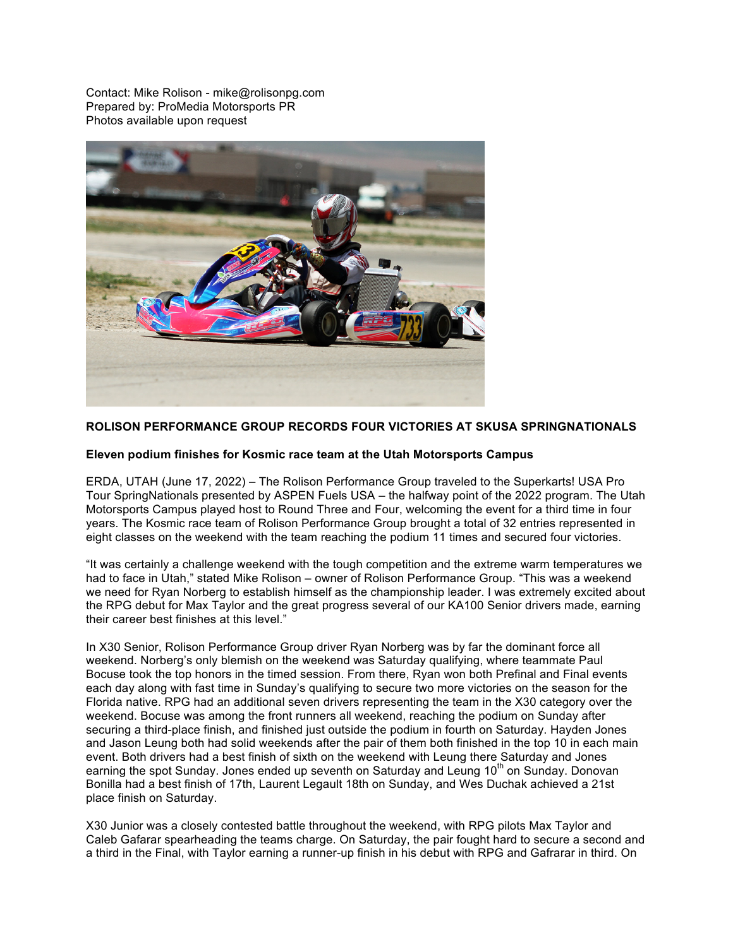Contact: Mike Rolison - mike@rolisonpg.com Prepared by: ProMedia Motorsports PR Photos available upon request



## **ROLISON PERFORMANCE GROUP RECORDS FOUR VICTORIES AT SKUSA SPRINGNATIONALS**

## **Eleven podium finishes for Kosmic race team at the Utah Motorsports Campus**

ERDA, UTAH (June 17, 2022) – The Rolison Performance Group traveled to the Superkarts! USA Pro Tour SpringNationals presented by ASPEN Fuels USA – the halfway point of the 2022 program. The Utah Motorsports Campus played host to Round Three and Four, welcoming the event for a third time in four years. The Kosmic race team of Rolison Performance Group brought a total of 32 entries represented in eight classes on the weekend with the team reaching the podium 11 times and secured four victories.

"It was certainly a challenge weekend with the tough competition and the extreme warm temperatures we had to face in Utah," stated Mike Rolison – owner of Rolison Performance Group. "This was a weekend we need for Ryan Norberg to establish himself as the championship leader. I was extremely excited about the RPG debut for Max Taylor and the great progress several of our KA100 Senior drivers made, earning their career best finishes at this level."

In X30 Senior, Rolison Performance Group driver Ryan Norberg was by far the dominant force all weekend. Norberg's only blemish on the weekend was Saturday qualifying, where teammate Paul Bocuse took the top honors in the timed session. From there, Ryan won both Prefinal and Final events each day along with fast time in Sunday's qualifying to secure two more victories on the season for the Florida native. RPG had an additional seven drivers representing the team in the X30 category over the weekend. Bocuse was among the front runners all weekend, reaching the podium on Sunday after securing a third-place finish, and finished just outside the podium in fourth on Saturday. Hayden Jones and Jason Leung both had solid weekends after the pair of them both finished in the top 10 in each main event. Both drivers had a best finish of sixth on the weekend with Leung there Saturday and Jones earning the spot Sunday. Jones ended up seventh on Saturday and Leung 10<sup>th</sup> on Sunday. Donovan Bonilla had a best finish of 17th, Laurent Legault 18th on Sunday, and Wes Duchak achieved a 21st place finish on Saturday.

X30 Junior was a closely contested battle throughout the weekend, with RPG pilots Max Taylor and Caleb Gafarar spearheading the teams charge. On Saturday, the pair fought hard to secure a second and a third in the Final, with Taylor earning a runner-up finish in his debut with RPG and Gafrarar in third. On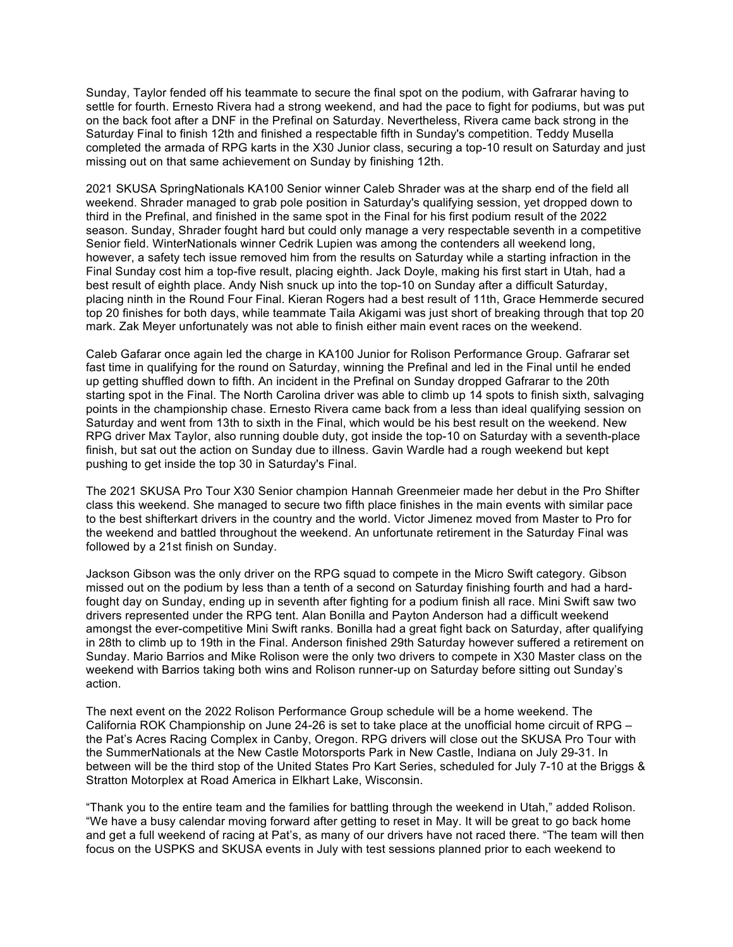Sunday, Taylor fended off his teammate to secure the final spot on the podium, with Gafrarar having to settle for fourth. Ernesto Rivera had a strong weekend, and had the pace to fight for podiums, but was put on the back foot after a DNF in the Prefinal on Saturday. Nevertheless, Rivera came back strong in the Saturday Final to finish 12th and finished a respectable fifth in Sunday's competition. Teddy Musella completed the armada of RPG karts in the X30 Junior class, securing a top-10 result on Saturday and just missing out on that same achievement on Sunday by finishing 12th.

2021 SKUSA SpringNationals KA100 Senior winner Caleb Shrader was at the sharp end of the field all weekend. Shrader managed to grab pole position in Saturday's qualifying session, yet dropped down to third in the Prefinal, and finished in the same spot in the Final for his first podium result of the 2022 season. Sunday, Shrader fought hard but could only manage a very respectable seventh in a competitive Senior field. WinterNationals winner Cedrik Lupien was among the contenders all weekend long, however, a safety tech issue removed him from the results on Saturday while a starting infraction in the Final Sunday cost him a top-five result, placing eighth. Jack Doyle, making his first start in Utah, had a best result of eighth place. Andy Nish snuck up into the top-10 on Sunday after a difficult Saturday, placing ninth in the Round Four Final. Kieran Rogers had a best result of 11th, Grace Hemmerde secured top 20 finishes for both days, while teammate Taila Akigami was just short of breaking through that top 20 mark. Zak Meyer unfortunately was not able to finish either main event races on the weekend.

Caleb Gafarar once again led the charge in KA100 Junior for Rolison Performance Group. Gafrarar set fast time in qualifying for the round on Saturday, winning the Prefinal and led in the Final until he ended up getting shuffled down to fifth. An incident in the Prefinal on Sunday dropped Gafrarar to the 20th starting spot in the Final. The North Carolina driver was able to climb up 14 spots to finish sixth, salvaging points in the championship chase. Ernesto Rivera came back from a less than ideal qualifying session on Saturday and went from 13th to sixth in the Final, which would be his best result on the weekend. New RPG driver Max Taylor, also running double duty, got inside the top-10 on Saturday with a seventh-place finish, but sat out the action on Sunday due to illness. Gavin Wardle had a rough weekend but kept pushing to get inside the top 30 in Saturday's Final.

The 2021 SKUSA Pro Tour X30 Senior champion Hannah Greenmeier made her debut in the Pro Shifter class this weekend. She managed to secure two fifth place finishes in the main events with similar pace to the best shifterkart drivers in the country and the world. Victor Jimenez moved from Master to Pro for the weekend and battled throughout the weekend. An unfortunate retirement in the Saturday Final was followed by a 21st finish on Sunday.

Jackson Gibson was the only driver on the RPG squad to compete in the Micro Swift category. Gibson missed out on the podium by less than a tenth of a second on Saturday finishing fourth and had a hardfought day on Sunday, ending up in seventh after fighting for a podium finish all race. Mini Swift saw two drivers represented under the RPG tent. Alan Bonilla and Payton Anderson had a difficult weekend amongst the ever-competitive Mini Swift ranks. Bonilla had a great fight back on Saturday, after qualifying in 28th to climb up to 19th in the Final. Anderson finished 29th Saturday however suffered a retirement on Sunday. Mario Barrios and Mike Rolison were the only two drivers to compete in X30 Master class on the weekend with Barrios taking both wins and Rolison runner-up on Saturday before sitting out Sunday's action.

The next event on the 2022 Rolison Performance Group schedule will be a home weekend. The California ROK Championship on June 24-26 is set to take place at the unofficial home circuit of RPG – the Pat's Acres Racing Complex in Canby, Oregon. RPG drivers will close out the SKUSA Pro Tour with the SummerNationals at the New Castle Motorsports Park in New Castle, Indiana on July 29-31. In between will be the third stop of the United States Pro Kart Series, scheduled for July 7-10 at the Briggs & Stratton Motorplex at Road America in Elkhart Lake, Wisconsin.

"Thank you to the entire team and the families for battling through the weekend in Utah," added Rolison. "We have a busy calendar moving forward after getting to reset in May. It will be great to go back home and get a full weekend of racing at Pat's, as many of our drivers have not raced there. "The team will then focus on the USPKS and SKUSA events in July with test sessions planned prior to each weekend to